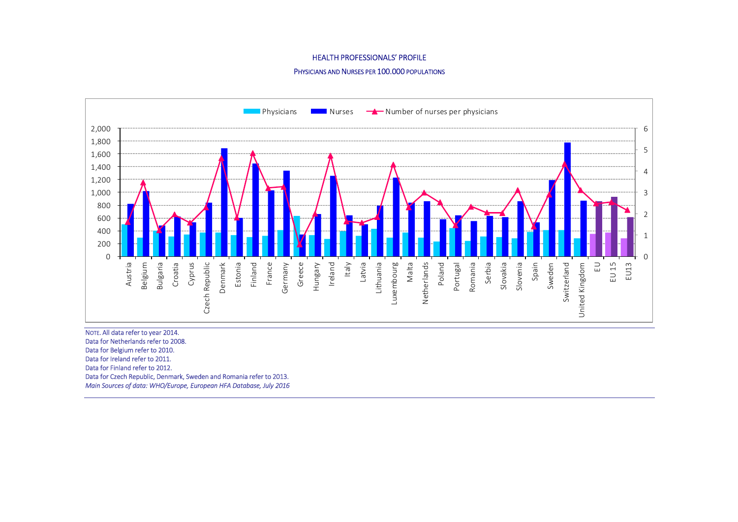# HEALTH PROFESSIONALS' PROFILE

# PHYSICIANS AND NURSES PER 100.000 POPULATIONS



Data for Netherlands refer to 2008. Data for Belgium refer to 2010. Data for Ireland refer to 2011. Data for Finland refer to 2012. Data for Czech Republic, Denmark, Sweden and Romania refer to 2013. Main Sources of data: WHO/Europe, European HFA Database, July 2016